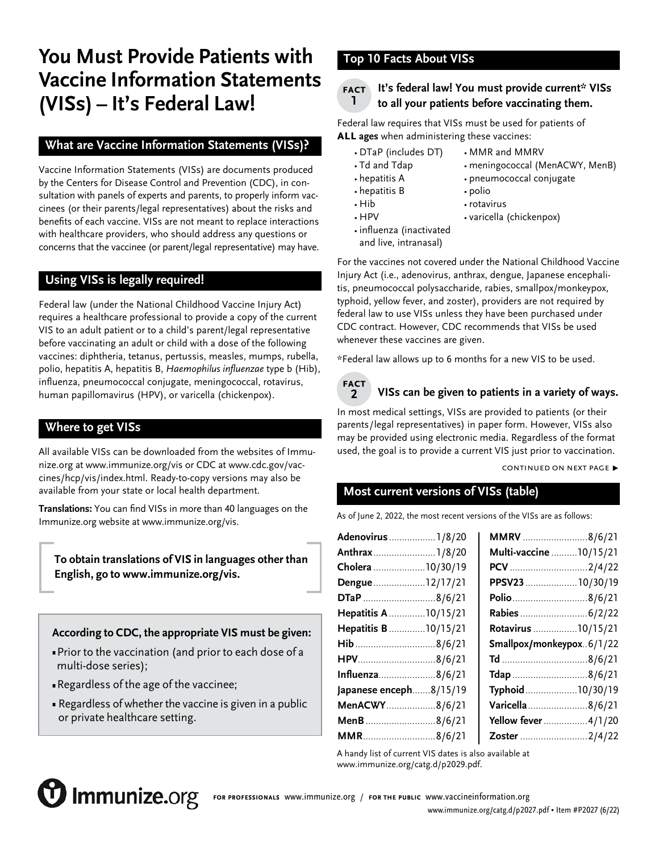# **You Must Provide Patients with Vaccine Information Statements (VISs) – It's Federal Law!**

# **What are Vaccine Information Statements (VISs)?**

Vaccine Information Statements (VISs) are documents produced by the Centers for Disease Control and Prevention (CDC), in consultation with panels of experts and parents, to properly inform vaccinees (or their parents/legal representatives) about the risks and benefits of each vaccine. VISs are not meant to replace interactions with healthcare providers, who should address any questions or concerns that the vaccinee (or parent/legal representative) may have.

# **Using VISs is legally required!**

Federal law (under the National Childhood Vaccine Injury Act) requires a healthcare professional to provide a copy of the current VIS to an adult patient or to a child's parent/legal representative before vaccinating an adult or child with a dose of the following vaccines: diphtheria, tetanus, pertussis, measles, mumps, rubella, polio, hepatitis A, hepatitis B, Haemophilus influenzae type b (Hib), influenza, pneumococcal conjugate, meningococcal, rotavirus, human papillomavirus (HPV), or varicella (chickenpox).

## **Where to get VISs**

All available VISs can be downloaded from the websites of Immunize.org at www.immunize.org/vis or CDC at [www.cdc.gov/vac](http://www.cdc.gov/vaccines/hcp/vis/index.html)[cines/hcp/vis/index.html](http://www.cdc.gov/vaccines/hcp/vis/index.html). Ready-to-copy versions may also be available from your state or local health department.

**Translations:** You can find VISs in more than 40 languages on the Immunize.org website at [www.immunize.org/vis.](https://www.immunize.org/vis)

**To obtain translations of VIS in languages other than English, go to [www.immunize.org/vis](https://www.immunize.org/vis).** 

**According to CDC, the appropriate VIS must be given:**

- Prior to the vaccination (and prior to each dose of a multi-dose series);
- Regardless of the age of the vaccinee;
- Regardless of whether the vaccine is given in a public or private healthcare setting.

# **Top 10 Facts About VISs**

#### **It's federal law! You must provide current\* VISs to all your patients before vaccinating them. fact 1**

Federal law requires that VISs must be used for patients of **all ages** when administering these vaccines:

- DTaP (includes DT) MMR and MMRV
- Td and Tdap meningococcal (MenACWY, MenB)
- hepatitis A pneumococcal conjugate
- hepatitis B polio
- Hib rotavirus
	-
- 
- 
- HPV varicella (chickenpox)
- influenza (inactivated and live, intranasal)
- For the vaccines not covered under the National Childhood Vaccine Injury Act (i.e., adenovirus, anthrax, dengue, Japanese encephalitis, pneumococcal polysaccharide, rabies, smallpox/monkeypox, typhoid, yellow fever, and zoster), providers are not required by federal law to use VISs unless they have been purchased under CDC contract. However, CDC recommends that VISs be used

whenever these vaccines are given.

\*Federal law allows up to 6 months for a new VIS to be used.



# **VISs can be given to patients in a variety of ways.**

In most medical settings, VISs are provided to patients (or their parents/legal representatives) in paper form. However, VISs also may be provided using electronic media. Regardless of the format used, the goal is to provide a current VIS just prior to vaccination.

CONTINUED ON NEXT PAGE ▶

# **Most current versions of VISs (table)**

As of June 2, 2022, the most recent versions of the VISs are as follows:

| Adenovirus  1/8/20     | MMRV 8/6/21              |
|------------------------|--------------------------|
| Anthrax1/8/20          | Multi-vaccine  10/15/21  |
| Cholera 10/30/19       | PCV 2/4/22               |
| Dengue12/17/21         | PPSV23  10/30/19         |
| DTaP 8/6/21            | Polio8/6/21              |
| Hepatitis A  10/15/21  | Rabies  6/2/22           |
| Hepatitis B  10/15/21  | Rotavirus 10/15/21       |
|                        | Smallpox/monkeypox6/1/22 |
| HPV8/6/21              |                          |
| Influenza8/6/21        | Tdap 8/6/21              |
| Japanese enceph8/15/19 | Typhoid10/30/19          |
| MenACWY8/6/21          | Varicella8/6/21          |
| MenB8/6/21             | Yellow fever 4/1/20      |
| MMR8/6/21              | Zoster 2/4/22            |
|                        |                          |

A handy list of current VIS dates is also available at [www.immunize.org/catg.d/p](https://www.immunize.org/catg.d/p2029.pdf)2029.pdf.



**for professionals** [www.immunize.org](http://www.immunize.org) / **for the public** [www.vaccineinformation.org](http://www.vaccineinformation.org)